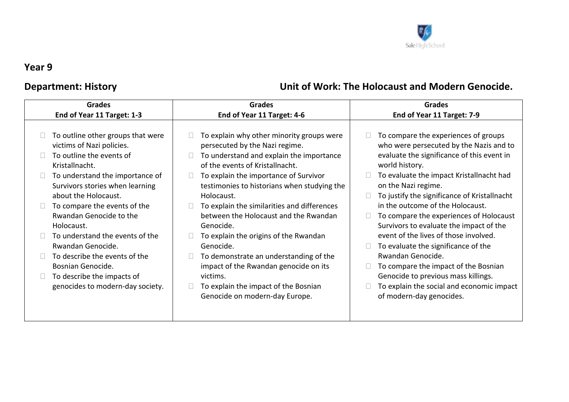

## **Year 9**

## **Grades End of Year 11 Target: 1-3 Grades End of Year 11 Target: 4-6 Grades End of Year 11 Target: 7-9**   $\Box$  To outline other groups that were victims of Nazi policies.  $\Box$  To outline the events of Kristallnacht.  $\Box$  To understand the importance of Survivors stories when learning about the Holocaust.  $\Box$  To compare the events of the Rwandan Genocide to the Holocaust.  $\Box$  To understand the events of the Rwandan Genocide.  $\Box$  To describe the events of the Bosnian Genocide.  $\Box$  To describe the impacts of genocides to modern-day society.  $\Box$  To explain why other minority groups were persecuted by the Nazi regime.  $\Box$  To understand and explain the importance of the events of Kristallnacht.  $\Box$  To explain the importance of Survivor testimonies to historians when studying the Holocaust.  $\Box$  To explain the similarities and differences between the Holocaust and the Rwandan Genocide.  $\Box$  To explain the origins of the Rwandan Genocide.  $\Box$  To demonstrate an understanding of the impact of the Rwandan genocide on its victims.  $\Box$  To explain the impact of the Bosnian Genocide on modern-day Europe.  $\Box$  To compare the experiences of groups who were persecuted by the Nazis and to evaluate the significance of this event in world history.  $\Box$  To evaluate the impact Kristallnacht had on the Nazi regime.  $\Box$  To justify the significance of Kristallnacht in the outcome of the Holocaust.  $\Box$  To compare the experiences of Holocaust Survivors to evaluate the impact of the event of the lives of those involved.  $\Box$  To evaluate the significance of the Rwandan Genocide.  $\Box$  To compare the impact of the Bosnian Genocide to previous mass killings.  $\Box$  To explain the social and economic impact of modern-day genocides.

## **Department: History Community Community Community Community Community Community Community Community Community Community Community Community Community Community Community Community Community Community Community Community C**